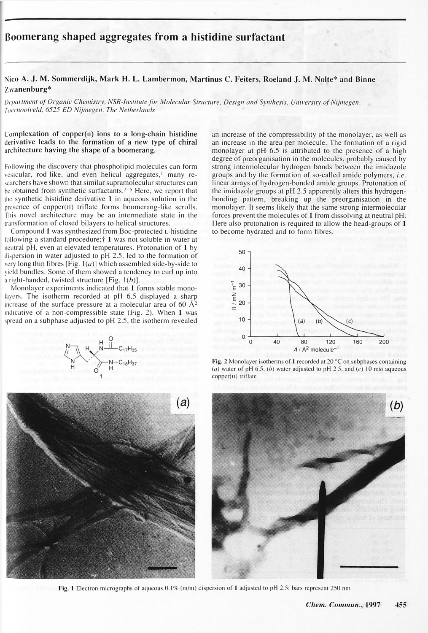**Boomerang shaped aggregates from a histidine surfactant**

Nico A. J. M. Sommerdijk, Mark H. L. Lambermon, Martinus C. Feiters, Roeland J. M. Nolte\* and Binne Zwanenburg\*

Department of Organic Chemistry, NSR-Institute for Molecular Structure, Design and Synthesis, University of Nijmegen, *Toernooiveld, 6525 ED Nijmegen, The Netherlands*

Complexation of copper $(n)$  ions to a long-chain histidine derivative leads to the formation of a new type of chiral architecture having the shape of a boomerang.

 $\circ$  $\mathsf{H}$ 1







Following the discovery that phospholipid molecules can form vesicular, rod-like, and even helical aggregates,<sup>1</sup> many researchers have shown that similar supramolecular structures can be obtained from synthetic surfactants.<sup>2–5</sup> Here, we report that the synthetic histidine derivative 1 in aqueous solution in the presence of copper(n) triflate forms boomerang-like scrolls. This novel architecture may be an intermediate state in the transformation of closed bilayers to helical structures. Compound 1 was synthesized from Boc-protected L-histidine following a standard procedure; $\dagger$  1 was not soluble in water at neutral pH, even at elevated temperatures. Protonation of 1 by dispersion in water adjusted to pH 2.5, led to the formation of very long thin fibres [Fig.  $1(a)$ ] which assembled side-by-side to yield bundles. Some of them showed a tendency to curl up into a right-handed, twisted structure [Fig.  $1(b)$ ]. Monolayer experiments indicated that 1 forms stable monolayers. The isotherm recorded at pH 6.5 displayed a sharp increase of the surface pressure at a molecular area of  $60 \text{ A}^2$ indicative of a non-compressible state (Fig. 2). When 1 was spread on a subphase adjusted to pH 2.5, the isotherm revealed

an increase of the compressibility of the monolayer, as well as an increase in the area per molecule. The formation of a rigid monolayer at pH 6.5 is attributed to the presence of a high degree of preorganisation in the molecules, probably caused by strong intermolecular hydrogen bonds between the imidazole groups and by the formation of so-called amide polymers, *i.e.* linear arrays of hydrogen-bonded amide groups. Protonation of the imidazole groups at pH 2.5 apparently alters this hydrogenbonding pattern, breaking up the preorganisation in the monolayer. It seems likely that the same strong intermolecular forces prevent the molecules of 1 from dissolving at neutral pH. Here also protonation is required to allow the head-groups of 1 to become hydrated and to form fibres.





Fig. 2 Monolayer isotherms of 1 recorded at 20 °C on subphases containing (a) water of pH 6.5, (b) water adjusted to pH 2.5, and (c) 10 mm aqueous  $copper(II)$  triflate sidnisser glomme hall aretical walls & gri

to consult du tutti in sult seldierustion alzellaniqhe

## Fig. 1 Electron micrographs of aqueous 0.1% (m/m) dispersion of 1 adjusted to pH 2.5; bars represent 250 nm

### *Chem. Commun.,* 1997 455